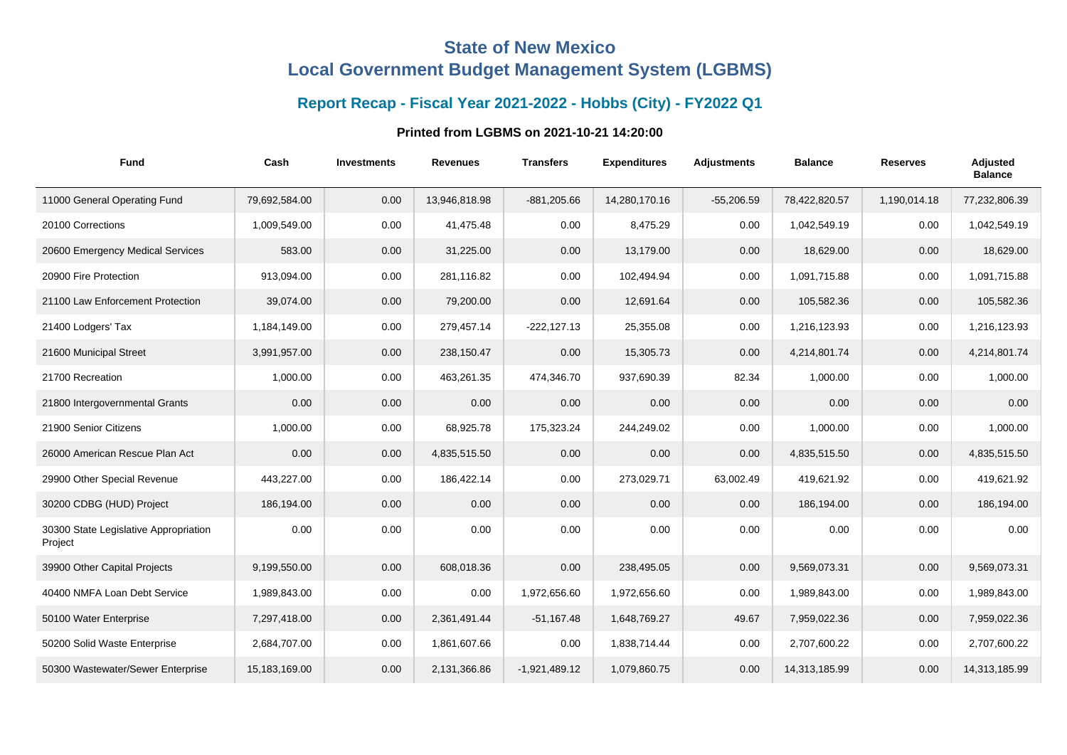## **State of New Mexico Local Government Budget Management System (LGBMS)**

## **Report Recap - Fiscal Year 2021-2022 - Hobbs (City) - FY2022 Q1**

## **Printed from LGBMS on 2021-10-21 14:20:00**

| <b>Fund</b>                                      | Cash          | <b>Investments</b> | <b>Revenues</b> | <b>Transfers</b> | <b>Expenditures</b> | <b>Adjustments</b> | <b>Balance</b> | <b>Reserves</b> | <b>Adjusted</b><br><b>Balance</b> |
|--------------------------------------------------|---------------|--------------------|-----------------|------------------|---------------------|--------------------|----------------|-----------------|-----------------------------------|
| 11000 General Operating Fund                     | 79,692,584.00 | 0.00               | 13,946,818.98   | $-881,205.66$    | 14,280,170.16       | $-55,206.59$       | 78,422,820.57  | 1,190,014.18    | 77,232,806.39                     |
| 20100 Corrections                                | 1,009,549.00  | 0.00               | 41,475.48       | 0.00             | 8,475.29            | 0.00               | 1,042,549.19   | 0.00            | 1,042,549.19                      |
| 20600 Emergency Medical Services                 | 583.00        | 0.00               | 31,225.00       | 0.00             | 13,179.00           | 0.00               | 18,629.00      | 0.00            | 18,629.00                         |
| 20900 Fire Protection                            | 913,094.00    | 0.00               | 281,116.82      | 0.00             | 102,494.94          | 0.00               | 1,091,715.88   | 0.00            | 1,091,715.88                      |
| 21100 Law Enforcement Protection                 | 39,074.00     | 0.00               | 79,200.00       | 0.00             | 12,691.64           | 0.00               | 105,582.36     | 0.00            | 105,582.36                        |
| 21400 Lodgers' Tax                               | 1,184,149.00  | 0.00               | 279,457.14      | $-222,127.13$    | 25,355.08           | 0.00               | 1,216,123.93   | 0.00            | 1,216,123.93                      |
| 21600 Municipal Street                           | 3,991,957.00  | 0.00               | 238,150.47      | 0.00             | 15,305.73           | 0.00               | 4,214,801.74   | 0.00            | 4,214,801.74                      |
| 21700 Recreation                                 | 1,000.00      | 0.00               | 463,261.35      | 474,346.70       | 937,690.39          | 82.34              | 1,000.00       | 0.00            | 1,000.00                          |
| 21800 Intergovernmental Grants                   | 0.00          | 0.00               | 0.00            | 0.00             | 0.00                | 0.00               | 0.00           | 0.00            | 0.00                              |
| 21900 Senior Citizens                            | 1,000.00      | 0.00               | 68,925.78       | 175,323.24       | 244,249.02          | 0.00               | 1,000.00       | 0.00            | 1,000.00                          |
| 26000 American Rescue Plan Act                   | 0.00          | 0.00               | 4,835,515.50    | 0.00             | 0.00                | 0.00               | 4,835,515.50   | 0.00            | 4,835,515.50                      |
| 29900 Other Special Revenue                      | 443,227.00    | 0.00               | 186,422.14      | 0.00             | 273,029.71          | 63,002.49          | 419,621.92     | 0.00            | 419,621.92                        |
| 30200 CDBG (HUD) Project                         | 186,194.00    | 0.00               | 0.00            | 0.00             | 0.00                | 0.00               | 186,194.00     | 0.00            | 186,194.00                        |
| 30300 State Legislative Appropriation<br>Project | 0.00          | 0.00               | 0.00            | 0.00             | 0.00                | 0.00               | 0.00           | 0.00            | 0.00                              |
| 39900 Other Capital Projects                     | 9,199,550.00  | 0.00               | 608,018.36      | 0.00             | 238,495.05          | 0.00               | 9,569,073.31   | 0.00            | 9,569,073.31                      |
| 40400 NMFA Loan Debt Service                     | 1,989,843.00  | 0.00               | 0.00            | 1,972,656.60     | 1,972,656.60        | 0.00               | 1,989,843.00   | 0.00            | 1,989,843.00                      |
| 50100 Water Enterprise                           | 7,297,418.00  | 0.00               | 2,361,491.44    | $-51,167.48$     | 1,648,769.27        | 49.67              | 7,959,022.36   | 0.00            | 7,959,022.36                      |
| 50200 Solid Waste Enterprise                     | 2,684,707.00  | 0.00               | 1,861,607.66    | 0.00             | 1,838,714.44        | 0.00               | 2,707,600.22   | 0.00            | 2,707,600.22                      |
| 50300 Wastewater/Sewer Enterprise                | 15,183,169.00 | 0.00               | 2,131,366.86    | $-1,921,489.12$  | 1,079,860.75        | 0.00               | 14,313,185.99  | 0.00            | 14,313,185.99                     |